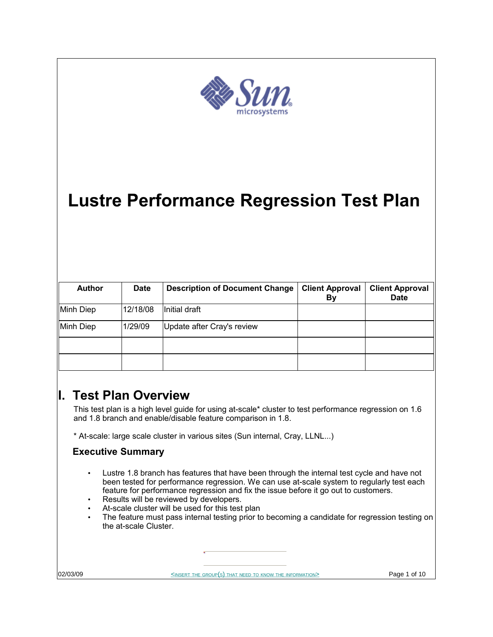

# **Lustre Performance Regression Test Plan**

| <b>Author</b> | <b>Date</b> | <b>Description of Document Change</b> | <b>Client Approval</b><br>By | <b>Client Approval</b><br><b>Date</b> |
|---------------|-------------|---------------------------------------|------------------------------|---------------------------------------|
| Minh Diep     | 12/18/08    | Initial draft                         |                              |                                       |
| Minh Diep     | 1/29/09     | Update after Cray's review            |                              |                                       |
|               |             |                                       |                              |                                       |
|               |             |                                       |                              |                                       |

## **I. Test Plan Overview**

This test plan is a high level guide for using at-scale\* cluster to test performance regression on 1.6 and 1.8 branch and enable/disable feature comparison in 1.8.

\* At-scale: large scale cluster in various sites (Sun internal, Cray, LLNL...)

## **Executive Summary**

- Lustre 1.8 branch has features that have been through the internal test cycle and have not been tested for performance regression. We can use at-scale system to regularly test each feature for performance regression and fix the issue before it go out to customers.
- Results will be reviewed by developers.
- At-scale cluster will be used for this test plan
- The feature must pass internal testing prior to becoming a candidate for regression testing on the at-scale Cluster.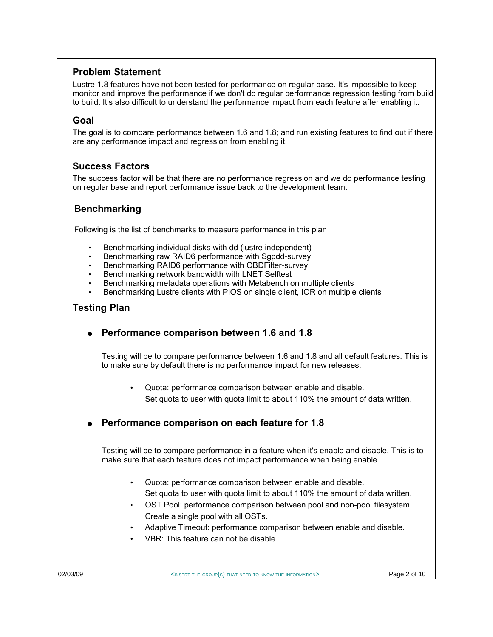## **Problem Statement**

Lustre 1.8 features have not been tested for performance on regular base. It's impossible to keep monitor and improve the performance if we don't do regular performance regression testing from build to build. It's also difficult to understand the performance impact from each feature after enabling it.

## **Goal**

The goal is to compare performance between 1.6 and 1.8; and run existing features to find out if there are any performance impact and regression from enabling it.

## **Success Factors**

The success factor will be that there are no performance regression and we do performance testing on regular base and report performance issue back to the development team.

## **Benchmarking**

Following is the list of benchmarks to measure performance in this plan

- Benchmarking individual disks with dd (lustre independent)
- Benchmarking raw RAID6 performance with Sgpdd-survey
- Benchmarking RAID6 performance with OBDFilter-survey
- Benchmarking network bandwidth with LNET Selftest
- Benchmarking metadata operations with Metabench on multiple clients
- Benchmarking Lustre clients with PIOS on single client, IOR on multiple clients

## **Testing Plan**

### ● **Performance comparison between 1.6 and 1.8**

Testing will be to compare performance between 1.6 and 1.8 and all default features. This is to make sure by default there is no performance impact for new releases.

- Quota: performance comparison between enable and disable. Set quota to user with quota limit to about 110% the amount of data written.
- **Performance comparison on each feature for 1.8**

Testing will be to compare performance in a feature when it's enable and disable. This is to make sure that each feature does not impact performance when being enable.

- Quota: performance comparison between enable and disable. Set quota to user with quota limit to about 110% the amount of data written.
- OST Pool: performance comparison between pool and non-pool filesystem. Create a single pool with all OSTs.
- Adaptive Timeout: performance comparison between enable and disable.
- VBR: This feature can not be disable.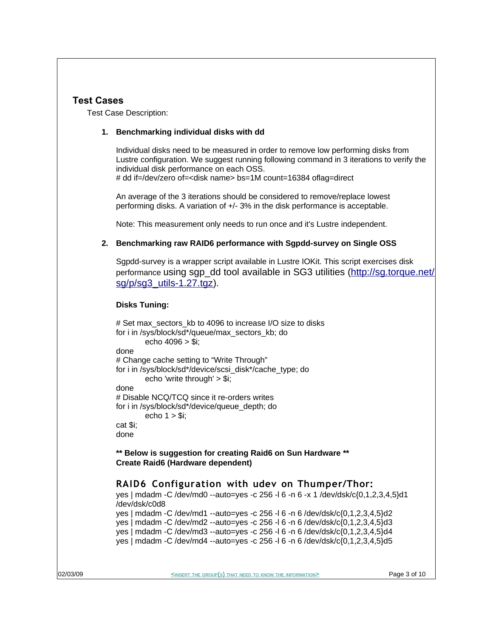#### **Test Cases**

Test Case Description:

#### **1. Benchmarking individual disks with dd**

Individual disks need to be measured in order to remove low performing disks from Lustre configuration. We suggest running following command in 3 iterations to verify the individual disk performance on each OSS. # dd if=/dev/zero of=<disk name> bs=1M count=16384 oflag=direct

An average of the 3 iterations should be considered to remove/replace lowest performing disks. A variation of +/- 3% in the disk performance is acceptable.

Note: This measurement only needs to run once and it's Lustre independent.

#### **2. Benchmarking raw RAID6 performance with Sgpdd-survey on Single OSS**

Sgpdd-survey is a wrapper script available in Lustre IOKit. This script exercises disk performance using sgp\_dd tool available in SG3 utilities [\(http://sg.torque.net/](http://sg.torque.net/sg/p/sg3_utils-1.27.tgz) [sg/p/sg3\\_utils-1.27.tgz\)](http://sg.torque.net/sg/p/sg3_utils-1.27.tgz).

#### **Disks Tuning:**

```
# Set max_sectors_kb to 4096 to increase I/O size to disks
for i in /sys/block/sd*/queue/max_sectors_kb; do
        echo 4096 > $i;
done
# Change cache setting to "Write Through"
for i in /sys/block/sd*/device/scsi_disk*/cache_type; do
        echo 'write through' > $i;
done
# Disable NCQ/TCQ since it re-orders writes
for i in /sys/block/sd*/device/queue_depth; do
        echo 1 > $i;
cat $i;
done
```
**\*\* Below is suggestion for creating Raid6 on Sun Hardware \*\* Create Raid6 (Hardware dependent)**

### **RAID6 Configuration with udev on Thumper/Thor:**

yes | mdadm -C /dev/md0 --auto=yes -c 256 -l 6 -n 6 -x 1 /dev/dsk/c{0,1,2,3,4,5}d1 /dev/dsk/c0d8 yes | mdadm -C /dev/md1 --auto=yes -c 256 -l 6 -n 6 /dev/dsk/c{0,1,2,3,4,5}d2 yes | mdadm -C /dev/md2 --auto=yes -c 256 -l 6 -n 6 /dev/dsk/c{0,1,2,3,4,5}d3 yes | mdadm -C /dev/md3 --auto=yes -c 256 -l 6 -n 6 /dev/dsk/c{0,1,2,3,4,5}d4

```
yes | mdadm -C /dev/md4 --auto=yes -c 256 -l 6 -n 6 /dev/dsk/c{0,1,2,3,4,5}d5
```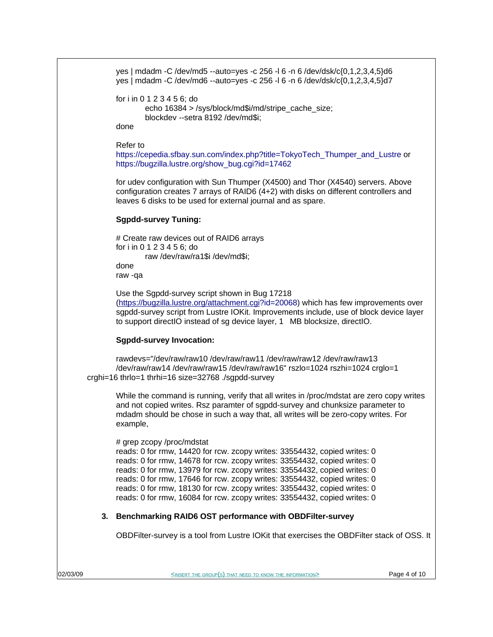| yes   mdadm -C /dev/md5 --auto=yes -c 256 -l 6 -n 6 /dev/dsk/c{0,1,2,3,4,5}d6<br>yes   mdadm -C /dev/md6 --auto=yes -c 256 -l 6 -n 6 /dev/dsk/c{0,1,2,3,4,5}d7                                                                                                                                                                                                                                                                                                                                          |
|---------------------------------------------------------------------------------------------------------------------------------------------------------------------------------------------------------------------------------------------------------------------------------------------------------------------------------------------------------------------------------------------------------------------------------------------------------------------------------------------------------|
| for i in 0 1 2 3 4 5 6; do<br>echo 16384 > /sys/block/md\$i/md/stripe_cache_size;<br>blockdev -- setra 8192 / dev/md\$i;<br>done                                                                                                                                                                                                                                                                                                                                                                        |
| Refer to<br>https://cepedia.sfbay.sun.com/index.php?title=TokyoTech_Thumper_and_Lustre or<br>https://bugzilla.lustre.org/show_bug.cgi?id=17462                                                                                                                                                                                                                                                                                                                                                          |
| for udev configuration with Sun Thumper (X4500) and Thor (X4540) servers. Above<br>configuration creates 7 arrays of RAID6 (4+2) with disks on different controllers and<br>leaves 6 disks to be used for external journal and as spare.                                                                                                                                                                                                                                                                |
| <b>Sgpdd-survey Tuning:</b>                                                                                                                                                                                                                                                                                                                                                                                                                                                                             |
| # Create raw devices out of RAID6 arrays                                                                                                                                                                                                                                                                                                                                                                                                                                                                |
| for i in 0 1 2 3 4 5 6; do<br>raw /dev/raw/ra1\$i /dev/md\$i;                                                                                                                                                                                                                                                                                                                                                                                                                                           |
| done<br>raw-qa                                                                                                                                                                                                                                                                                                                                                                                                                                                                                          |
| Use the Sgpdd-survey script shown in Bug 17218<br>(https://bugzilla.lustre.org/attachment.cgi?id=20068) which has few improvements over<br>sgpdd-survey script from Lustre IOKit. Improvements include, use of block device layer<br>to support directIO instead of sg device layer, 1 MB blocksize, directIO.                                                                                                                                                                                          |
| <b>Sgpdd-survey Invocation:</b>                                                                                                                                                                                                                                                                                                                                                                                                                                                                         |
| rawdevs="/dev/raw/raw10/dev/raw/raw11/dev/raw/raw12/dev/raw/raw13<br>/dev/raw/raw14 /dev/raw/raw15 /dev/raw/raw16" rszlo=1024 rszhi=1024 crglo=1<br>crghi=16 thrlo=1 thrhi=16 size=32768 ./sgpdd-survey                                                                                                                                                                                                                                                                                                 |
| While the command is running, verify that all writes in /proc/mdstat are zero copy writes<br>and not copied writes. Rsz paramter of sgpdd-survey and chunksize parameter to<br>mdadm should be chose in such a way that, all writes will be zero-copy writes. For<br>example,                                                                                                                                                                                                                           |
| # grep zcopy /proc/mdstat<br>reads: 0 for rmw, 14420 for rcw. zcopy writes: 33554432, copied writes: 0<br>reads: 0 for rmw, 14678 for rcw. zcopy writes: 33554432, copied writes: 0<br>reads: 0 for rmw, 13979 for rcw. zcopy writes: 33554432, copied writes: 0<br>reads: 0 for rmw, 17646 for rcw. zcopy writes: 33554432, copied writes: 0<br>reads: 0 for rmw, 18130 for rcw. zcopy writes: 33554432, copied writes: 0<br>reads: 0 for rmw, 16084 for rcw. zcopy writes: 33554432, copied writes: 0 |
| 3. Benchmarking RAID6 OST performance with OBDFilter-survey                                                                                                                                                                                                                                                                                                                                                                                                                                             |
| OBDFilter-survey is a tool from Lustre IOKit that exercises the OBDFilter stack of OSS. It                                                                                                                                                                                                                                                                                                                                                                                                              |
|                                                                                                                                                                                                                                                                                                                                                                                                                                                                                                         |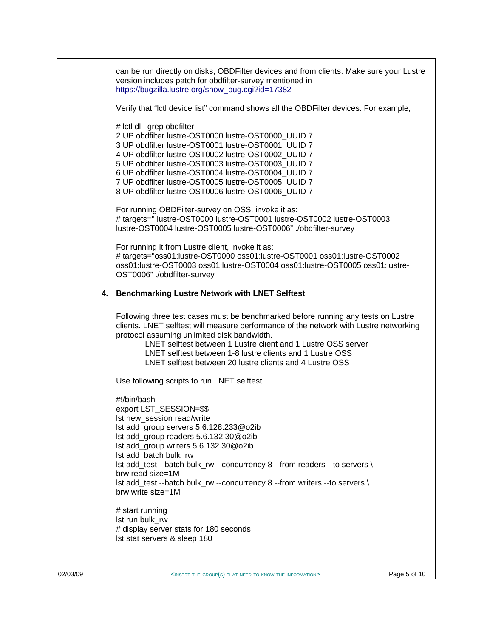can be run directly on disks, OBDFilter devices and from clients. Make sure your Lustre version includes patch for obdfilter-survey mentioned in [https://bugzilla.lustre.org/show\\_bug.cgi?id=17382](https://bugzilla.lustre.org/show_bug.cgi?id=17382)

Verify that "lctl device list" command shows all the OBDFilter devices. For example,

# lctl dl | grep obdfilter 2 UP obdfilter lustre-OST0000 lustre-OST0000\_UUID 7 3 UP obdfilter lustre-OST0001 lustre-OST0001\_UUID 7 4 UP obdfilter lustre-OST0002 lustre-OST0002\_UUID 7 5 UP obdfilter lustre-OST0003 lustre-OST0003\_UUID 7 6 UP obdfilter lustre-OST0004 lustre-OST0004\_UUID 7 7 UP obdfilter lustre-OST0005 lustre-OST0005\_UUID 7 8 UP obdfilter lustre-OST0006 lustre-OST0006\_UUID 7

For running OBDFilter-survey on OSS, invoke it as: # targets=" lustre-OST0000 lustre-OST0001 lustre-OST0002 lustre-OST0003 lustre-OST0004 lustre-OST0005 lustre-OST0006" ./obdfilter-survey

For running it from Lustre client, invoke it as: # targets="oss01:lustre-OST0000 oss01:lustre-OST0001 oss01:lustre-OST0002 oss01:lustre-OST0003 oss01:lustre-OST0004 oss01:lustre-OST0005 oss01:lustre-OST0006" ./obdfilter-survey

#### **4. Benchmarking Lustre Network with LNET Selftest**

Following three test cases must be benchmarked before running any tests on Lustre clients. LNET selftest will measure performance of the network with Lustre networking protocol assuming unlimited disk bandwidth.

LNET selftest between 1 Lustre client and 1 Lustre OSS server LNET selftest between 1-8 lustre clients and 1 Lustre OSS

LNET selftest between 20 lustre clients and 4 Lustre OSS

Use following scripts to run LNET selftest.

#!/bin/bash export LST\_SESSION=\$\$ lst new\_session read/write lst add\_group servers 5.6.128.233@o2ib lst add\_group readers 5.6.132.30@o2ib lst add\_group writers 5.6.132.30@o2ib lst add\_batch bulk\_rw lst add\_test --batch bulk\_rw --concurrency 8 --from readers --to servers \ brw read size=1M lst add test --batch bulk rw --concurrency 8 --from writers --to servers \ brw write size=1M

# start running lst run bulk\_rw # display server stats for 180 seconds lst stat servers & sleep 180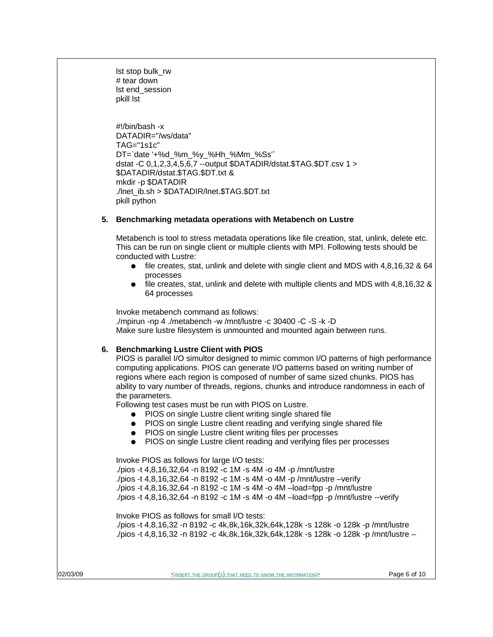lst stop bulk\_rw # tear down lst end\_session pkill lst

#!/bin/bash -x DATADIR="/ws/data" TAG="1s1c" DT=`date '+%d\_%m\_%y\_%Hh\_%Mm\_%Ss'` dstat -C 0,1,2,3,4,5,6,7 --output \$DATADIR/dstat.\$TAG.\$DT.csv 1 > \$DATADIR/dstat.\$TAG.\$DT.txt & mkdir -p \$DATADIR ./lnet\_ib.sh > \$DATADIR/lnet.\$TAG.\$DT.txt pkill python

#### **5. Benchmarking metadata operations with Metabench on Lustre**

Metabench is tool to stress metadata operations like file creation, stat, unlink, delete etc. This can be run on single client or multiple clients with MPI. Following tests should be conducted with Lustre:

- file creates, stat, unlink and delete with single client and MDS with 4,8,16,32 & 64 processes
- file creates, stat, unlink and delete with multiple clients and MDS with  $4,8,16,32$  & 64 processes

Invoke metabench command as follows:

./mpirun -np 4 ./metabench -w /mnt/lustre -c 30400 -C -S -k -D Make sure lustre filesystem is unmounted and mounted again between runs.

#### **6. Benchmarking Lustre Client with PIOS**

PIOS is parallel I/O simultor designed to mimic common I/O patterns of high performance computing applications. PIOS can generate I/O patterns based on writing number of regions where each region is composed of number of same sized chunks. PIOS has ability to vary number of threads, regions, chunks and introduce randomness in each of the parameters.

Following test cases must be run with PIOS on Lustre.

- PIOS on single Lustre client writing single shared file
- PIOS on single Lustre client reading and verifying single shared file
- PIOS on single Lustre client writing files per processes
- PIOS on single Lustre client reading and verifying files per processes

Invoke PIOS as follows for large I/O tests:

./pios -t 4,8,16,32,64 -n 8192 -c 1M -s 4M -o 4M -p /mnt/lustre ./pios -t 4,8,16,32,64 -n 8192 -c 1M -s 4M -o 4M -p /mnt/lustre –verify ./pios -t 4,8,16,32,64 -n 8192 -c 1M -s 4M -o 4M –load=fpp -p /mnt/lustre ./pios -t 4,8,16,32,64 -n 8192 -c 1M -s 4M -o 4M –load=fpp -p /mnt/lustre --verify

Invoke PIOS as follows for small I/O tests:

./pios -t 4,8,16,32 -n 8192 -c 4k,8k,16k,32k,64k,128k -s 128k -o 128k -p /mnt/lustre ./pios -t 4,8,16,32 -n 8192 -c 4k,8k,16k,32k,64k,128k -s 128k -o 128k -p /mnt/lustre –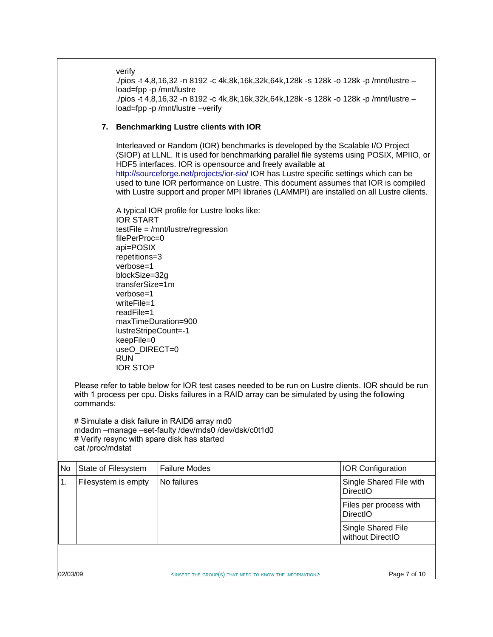|                                                                 | verify<br>load=fpp -p /mnt/lustre                                                                                                                                                                                                                                                                                                                                                                                                                                                                                                                                                                                                                                                              | ./pios -t 4,8,16,32 -n 8192 -c 4k,8k,16k,32k,64k,128k -s 128k -o 128k -p /mnt/lustre -<br>./pios -t 4,8,16,32 -n 8192 -c 4k,8k,16k,32k,64k,128k -s 128k -o 128k -p /mnt/lustre -<br>load=fpp -p /mnt/lustre -verify |  |                                            |  |
|-----------------------------------------------------------------|------------------------------------------------------------------------------------------------------------------------------------------------------------------------------------------------------------------------------------------------------------------------------------------------------------------------------------------------------------------------------------------------------------------------------------------------------------------------------------------------------------------------------------------------------------------------------------------------------------------------------------------------------------------------------------------------|---------------------------------------------------------------------------------------------------------------------------------------------------------------------------------------------------------------------|--|--------------------------------------------|--|
|                                                                 | 7. Benchmarking Lustre clients with IOR                                                                                                                                                                                                                                                                                                                                                                                                                                                                                                                                                                                                                                                        |                                                                                                                                                                                                                     |  |                                            |  |
|                                                                 | Interleaved or Random (IOR) benchmarks is developed by the Scalable I/O Project<br>(SIOP) at LLNL. It is used for benchmarking parallel file systems using POSIX, MPIIO, or<br>HDF5 interfaces. IOR is opensource and freely available at<br>http://sourceforge.net/projects/ior-sio/ IOR has Lustre specific settings which can be<br>used to tune IOR performance on Lustre. This document assumes that IOR is compiled<br>with Lustre support and proper MPI libraries (LAMMPI) are installed on all Lustre clients.                                                                                                                                                                        |                                                                                                                                                                                                                     |  |                                            |  |
| # Verify resync with spare disk has started<br>cat /proc/mdstat | A typical IOR profile for Lustre looks like:<br><b>IOR START</b><br>$testFile = /mnt/lustre/regression$<br>filePerProc=0<br>api=POSIX<br>repetitions=3<br>verbose=1<br>blockSize=32g<br>transferSize=1m<br>verbose=1<br>writeFile=1<br>readFile=1<br>maxTimeDuration=900<br>lustreStripeCount=-1<br>keepFile=0<br>useO_DIRECT=0<br><b>RUN</b><br><b>IOR STOP</b><br>Please refer to table below for IOR test cases needed to be run on Lustre clients. IOR should be run<br>with 1 process per cpu. Disks failures in a RAID array can be simulated by using the following<br>commands:<br># Simulate a disk failure in RAID6 array md0<br>mdadm -manage -set-faulty /dev/mds0 /dev/dsk/c0t1d0 |                                                                                                                                                                                                                     |  |                                            |  |
| No                                                              | State of Filesystem                                                                                                                                                                                                                                                                                                                                                                                                                                                                                                                                                                                                                                                                            | <b>Failure Modes</b>                                                                                                                                                                                                |  | <b>IOR Configuration</b>                   |  |
| 1.                                                              | Filesystem is empty                                                                                                                                                                                                                                                                                                                                                                                                                                                                                                                                                                                                                                                                            | No failures                                                                                                                                                                                                         |  | Single Shared File with<br><b>DirectIO</b> |  |
|                                                                 |                                                                                                                                                                                                                                                                                                                                                                                                                                                                                                                                                                                                                                                                                                |                                                                                                                                                                                                                     |  | Files per process with<br><b>DirectIO</b>  |  |
|                                                                 |                                                                                                                                                                                                                                                                                                                                                                                                                                                                                                                                                                                                                                                                                                |                                                                                                                                                                                                                     |  | Single Shared File<br>without DirectIO     |  |
| 02/03/09                                                        |                                                                                                                                                                                                                                                                                                                                                                                                                                                                                                                                                                                                                                                                                                | <insert group(s)="" information="" know="" need="" that="" the="" to=""></insert>                                                                                                                                   |  | Page 7 of 10                               |  |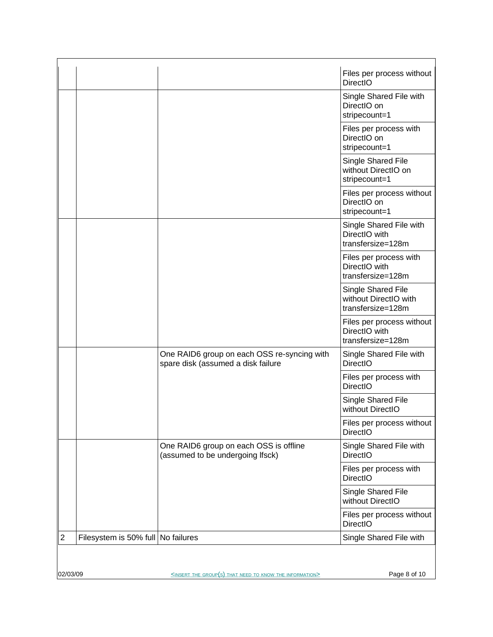|                |                                    |                                                                                   | Files per process without<br><b>DirectIO</b>                     |  |
|----------------|------------------------------------|-----------------------------------------------------------------------------------|------------------------------------------------------------------|--|
|                |                                    |                                                                                   | Single Shared File with<br>DirectIO on<br>stripecount=1          |  |
|                |                                    |                                                                                   | Files per process with<br>DirectIO on<br>stripecount=1           |  |
|                |                                    |                                                                                   | Single Shared File<br>without DirectIO on<br>stripecount=1       |  |
|                |                                    |                                                                                   | Files per process without<br>DirectIO on<br>stripecount=1        |  |
|                |                                    |                                                                                   | Single Shared File with<br>DirectIO with<br>transfersize=128m    |  |
|                |                                    |                                                                                   | Files per process with<br>DirectIO with<br>transfersize=128m     |  |
|                |                                    |                                                                                   | Single Shared File<br>without DirectIO with<br>transfersize=128m |  |
|                |                                    |                                                                                   | Files per process without<br>DirectIO with<br>transfersize=128m  |  |
|                |                                    | One RAID6 group on each OSS re-syncing with<br>spare disk (assumed a disk failure | Single Shared File with<br><b>DirectIO</b>                       |  |
|                |                                    |                                                                                   | Files per process with<br><b>DirectIO</b>                        |  |
|                |                                    |                                                                                   | Single Shared File<br>without DirectIO                           |  |
|                |                                    |                                                                                   | Files per process without<br>DirectIO                            |  |
|                |                                    | One RAID6 group on each OSS is offline<br>(assumed to be undergoing lfsck)        | Single Shared File with<br><b>DirectIO</b>                       |  |
|                |                                    |                                                                                   | Files per process with<br><b>DirectIO</b>                        |  |
|                |                                    |                                                                                   | Single Shared File<br>without DirectIO                           |  |
|                |                                    |                                                                                   | Files per process without<br><b>DirectIO</b>                     |  |
| $\overline{2}$ | Filesystem is 50% full No failures |                                                                                   | Single Shared File with                                          |  |
|                |                                    |                                                                                   |                                                                  |  |
| 02/03/09       |                                    | <insert group(s)="" information="" know="" need="" that="" the="" to=""></insert> | Page 8 of 10                                                     |  |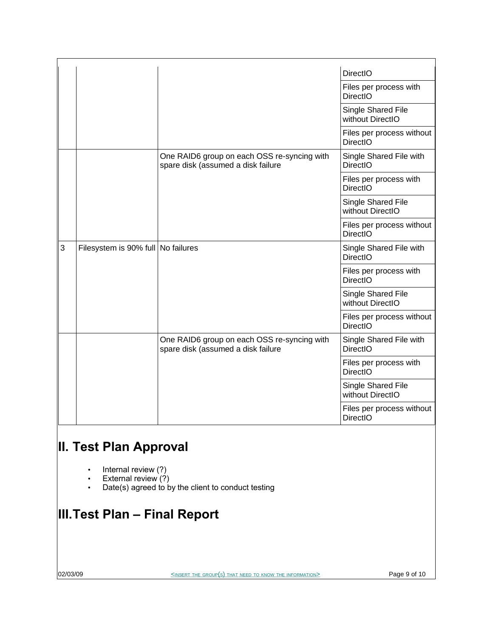|   |                                    |                                                                                   | <b>DirectIO</b>                              |
|---|------------------------------------|-----------------------------------------------------------------------------------|----------------------------------------------|
|   |                                    |                                                                                   | Files per process with<br><b>DirectIO</b>    |
|   |                                    |                                                                                   | Single Shared File<br>without DirectIO       |
|   |                                    |                                                                                   | Files per process without<br><b>DirectIO</b> |
|   |                                    | One RAID6 group on each OSS re-syncing with<br>spare disk (assumed a disk failure | Single Shared File with<br><b>DirectIO</b>   |
|   |                                    |                                                                                   | Files per process with<br><b>DirectIO</b>    |
|   |                                    |                                                                                   | Single Shared File<br>without DirectIO       |
|   |                                    |                                                                                   | Files per process without<br><b>DirectIO</b> |
| 3 | Filesystem is 90% full No failures |                                                                                   | Single Shared File with<br><b>DirectIO</b>   |
|   |                                    |                                                                                   | Files per process with<br><b>DirectIO</b>    |
|   |                                    |                                                                                   | Single Shared File<br>without DirectIO       |
|   |                                    |                                                                                   | Files per process without<br><b>DirectIO</b> |
|   |                                    | One RAID6 group on each OSS re-syncing with<br>spare disk (assumed a disk failure | Single Shared File with<br>DirectIO          |
|   |                                    |                                                                                   | Files per process with<br><b>DirectIO</b>    |
|   |                                    |                                                                                   | Single Shared File<br>without DirectIO       |
|   |                                    |                                                                                   | Files per process without<br><b>DirectIO</b> |

## **II. Test Plan Approval**

- Internal review (?)
- External review  $(?)$ <br>• Date(s) agreed to b
- Date(s) agreed to by the client to conduct testing

## **III.Test Plan – Final Report**